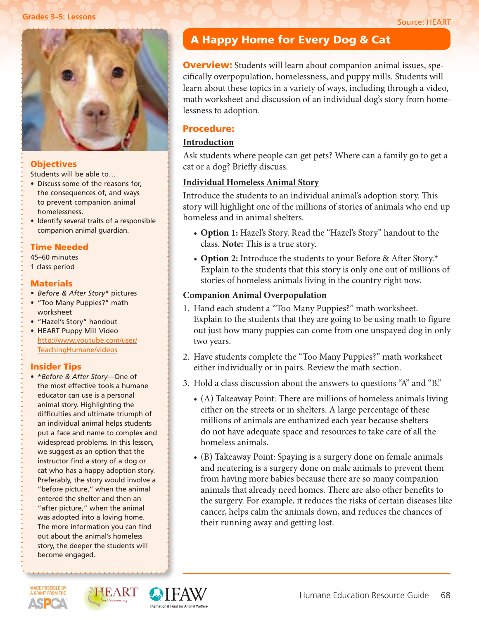

#### **Objectives**

Students will be able to…

- Discuss some of the reasons for, the consequences of, and ways to prevent companion animal homelessness.
- Identify several traits of a responsible companion animal guardian.

#### Time Needed

45–60 minutes 1 class period

### **Materials**

- *• Before & After Story\** pictures
- "Too Many Puppies?" math worksheet
- "Hazel's Story" handout
- HEART Puppy Mill Video http://www.youtube.com/user/ TeachingHumane/videos

#### Insider Tips

• \**Before & After Story*—One of the most effective tools a humane educator can use is a personal animal story. Highlighting the difficulties and ultimate triumph of an individual animal helps students put a face and name to complex and widespread problems. In this lesson, we suggest as an option that the instructor find a story of a dog or cat who has a happy adoption story. Preferably, the story would involve a "before picture," when the animal entered the shelter and then an "after picture," when the animal was adopted into a loving home. The more information you can find out about the animal's homeless story, the deeper the students will become engaged.

### A Happy Home for Every Dog & Cat

**Overview:** Students will learn about companion animal issues, specifically overpopulation, homelessness, and puppy mills. Students will learn about these topics in a variety of ways, including through a video, math worksheet and discussion of an individual dog's story from homelessness to adoption.

#### Procedure:

#### **Introduction**

Ask students where people can get pets? Where can a family go to get a cat or a dog? Briefly discuss.

#### **Individual Homeless Animal Story**

Introduce the students to an individual animal's adoption story. This story will highlight one of the millions of stories of animals who end up homeless and in animal shelters.

- **Option 1:** Hazel's Story. Read the "Hazel's Story" handout to the class. **Note:** This is a true story.
- **Option 2:** Introduce the students to your Before & After Story.\* Explain to the students that this story is only one out of millions of stories of homeless animals living in the country right now.

#### **Companion Animal Overpopulation**

- 1. Hand each student a "Too Many Puppies?" math worksheet. Explain to the students that they are going to be using math to figure out just how many puppies can come from one unspayed dog in only two years.
- 2. Have students complete the "Too Many Puppies?" math worksheet either individually or in pairs. Review the math section.
- 3. Hold a class discussion about the answers to questions "A" and "B."
	- (A) Takeaway Point: There are millions of homeless animals living either on the streets or in shelters. A large percentage of these millions of animals are euthanized each year because shelters do not have adequate space and resources to take care of all the homeless animals.
	- (B) Takeaway Point: Spaying is a surgery done on female animals and neutering is a surgery done on male animals to prevent them from having more babies because there are so many companion animals that already need homes. There are also other benefits to the surgery. For example, it reduces the risks of certain diseases like cancer, helps calm the animals down, and reduces the chances of their running away and getting lost.



. . . . . . . . . **.** 



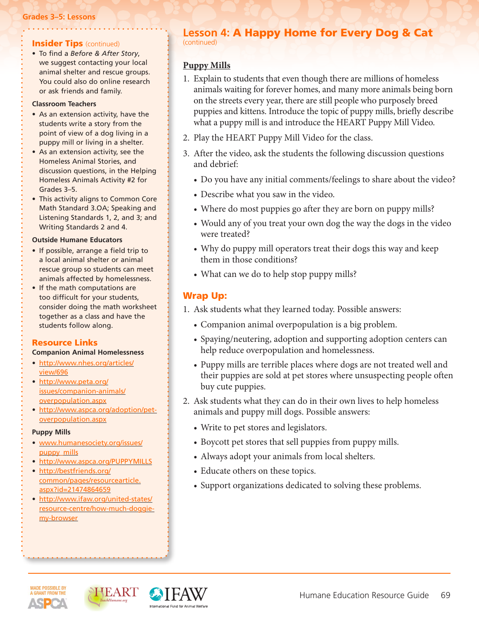#### **Insider Tips (continued)**

. . . . . . . . . . . . . . . . . .

• To find a *Before & After Story*, we suggest contacting your local animal shelter and rescue groups. You could also do online research or ask friends and family.

#### **Classroom Teachers**

- As an extension activity, have the students write a story from the point of view of a dog living in a puppy mill or living in a shelter.
- As an extension activity, see the Homeless Animal Stories, and discussion questions, in the Helping Homeless Animals Activity #2 for Grades 3–5.
- This activity aligns to Common Core Math Standard 3.OA; Speaking and Listening Standards 1, 2, and 3; and Writing Standards 2 and 4.

#### **Outside Humane Educators**

- If possible, arrange a field trip to a local animal shelter or animal rescue group so students can meet animals affected by homelessness.
- If the math computations are too difficult for your students, consider doing the math worksheet together as a class and have the students follow along.

#### Resource Links

#### **Companion Animal Homelessness**

- http://www.nhes.org/articles/ view/696
- http://www.peta.org/ issues/companion-animals/ overpopulation.aspx
- http://www.aspca.org/adoption/petoverpopulation.aspx

#### **Puppy Mills**

- www.humanesociety.org/issues/ puppy\_mills
- http://www.aspca.org/PUPPYMILLS
- http://bestfriends.org/ common/pages/resourcearticle. aspx?id=21474864659

• http://www.ifaw.org/united-states/ resource-centre/how-much-doggiemy-browser

## **Lesson 4: A Happy Home for Every Dog & Cat**

#### **Puppy Mills**

- 1. Explain to students that even though there are millions of homeless animals waiting for forever homes, and many more animals being born on the streets every year, there are still people who purposely breed puppies and kittens. Introduce the topic of puppy mills, briefly describe what a puppy mill is and introduce the HEART Puppy Mill Video.
- 2. Play the HEART Puppy Mill Video for the class.
- 3. After the video, ask the students the following discussion questions and debrief:
	- Do you have any initial comments/feelings to share about the video?
	- Describe what you saw in the video.
	- Where do most puppies go after they are born on puppy mills?
	- Would any of you treat your own dog the way the dogs in the video were treated?
	- Why do puppy mill operators treat their dogs this way and keep them in those conditions?
	- What can we do to help stop puppy mills?

#### Wrap Up:

- 1. Ask students what they learned today. Possible answers:
	- Companion animal overpopulation is a big problem.
	- Spaying/neutering, adoption and supporting adoption centers can help reduce overpopulation and homelessness.
	- Puppy mills are terrible places where dogs are not treated well and their puppies are sold at pet stores where unsuspecting people often buy cute puppies.
- 2. Ask students what they can do in their own lives to help homeless animals and puppy mill dogs. Possible answers:
	- Write to pet stores and legislators.
	- Boycott pet stores that sell puppies from puppy mills.
	- • Always adopt your animals from local shelters.
	- Educate others on these topics.
	- Support organizations dedicated to solving these problems.





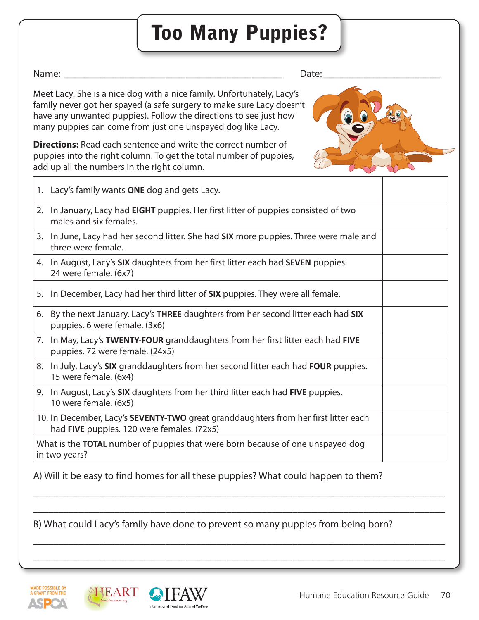# Too Many Puppies?

#### Name: \_\_\_\_\_\_\_\_\_\_\_\_\_\_\_\_\_\_\_\_\_\_\_\_\_\_\_\_\_\_\_\_\_\_\_\_\_\_\_\_\_\_\_ Date:\_\_\_\_\_\_\_\_\_\_\_\_\_\_\_\_\_\_\_\_\_\_\_

Meet Lacy. She is a nice dog with a nice family. Unfortunately, Lacy's family never got her spayed (a safe surgery to make sure Lacy doesn't have any unwanted puppies). Follow the directions to see just how many puppies can come from just one unspayed dog like Lacy.

**Directions:** Read each sentence and write the correct number of puppies into the right column. To get the total number of puppies, add up all the numbers in the right column.



|                                                                                                                                   | 1. Lacy's family wants ONE dog and gets Lacy.                                                                       |  |
|-----------------------------------------------------------------------------------------------------------------------------------|---------------------------------------------------------------------------------------------------------------------|--|
|                                                                                                                                   | 2. In January, Lacy had EIGHT puppies. Her first litter of puppies consisted of two<br>males and six females.       |  |
|                                                                                                                                   | 3. In June, Lacy had her second litter. She had SIX more puppies. Three were male and<br>three were female.         |  |
|                                                                                                                                   | 4. In August, Lacy's SIX daughters from her first litter each had SEVEN puppies.<br>24 were female. (6x7)           |  |
|                                                                                                                                   | 5. In December, Lacy had her third litter of <b>SIX</b> puppies. They were all female.                              |  |
|                                                                                                                                   | 6. By the next January, Lacy's THREE daughters from her second litter each had SIX<br>puppies. 6 were female. (3x6) |  |
|                                                                                                                                   | 7. In May, Lacy's TWENTY-FOUR granddaughters from her first litter each had FIVE<br>puppies. 72 were female. (24x5) |  |
|                                                                                                                                   | 8. In July, Lacy's SIX granddaughters from her second litter each had FOUR puppies.<br>15 were female. (6x4)        |  |
|                                                                                                                                   | 9. In August, Lacy's SIX daughters from her third litter each had FIVE puppies.<br>10 were female. (6x5)            |  |
| 10. In December, Lacy's SEVENTY-TWO great granddaughters from her first litter each<br>had FIVE puppies. 120 were females. (72x5) |                                                                                                                     |  |
| What is the <b>TOTAL</b> number of puppies that were born because of one unspayed dog<br>in two years?                            |                                                                                                                     |  |

A) Will it be easy to find homes for all these puppies? What could happen to them?

B) What could Lacy's family have done to prevent so many puppies from being born?

\_\_\_\_\_\_\_\_\_\_\_\_\_\_\_\_\_\_\_\_\_\_\_\_\_\_\_\_\_\_\_\_\_\_\_\_\_\_\_\_\_\_\_\_\_\_\_\_\_\_\_\_\_\_\_\_\_\_\_\_\_\_\_\_\_\_\_\_\_\_\_\_\_\_\_\_\_\_\_\_\_

\_\_\_\_\_\_\_\_\_\_\_\_\_\_\_\_\_\_\_\_\_\_\_\_\_\_\_\_\_\_\_\_\_\_\_\_\_\_\_\_\_\_\_\_\_\_\_\_\_\_\_\_\_\_\_\_\_\_\_\_\_\_\_\_\_\_\_\_\_\_\_\_\_\_\_\_\_\_\_\_\_

\_\_\_\_\_\_\_\_\_\_\_\_\_\_\_\_\_\_\_\_\_\_\_\_\_\_\_\_\_\_\_\_\_\_\_\_\_\_\_\_\_\_\_\_\_\_\_\_\_\_\_\_\_\_\_\_\_\_\_\_\_\_\_\_\_\_\_\_\_\_\_\_\_\_\_\_\_\_\_\_\_

\_\_\_\_\_\_\_\_\_\_\_\_\_\_\_\_\_\_\_\_\_\_\_\_\_\_\_\_\_\_\_\_\_\_\_\_\_\_\_\_\_\_\_\_\_\_\_\_\_\_\_\_\_\_\_\_\_\_\_\_\_\_\_\_\_\_\_\_\_\_\_\_\_\_\_\_\_\_\_\_\_





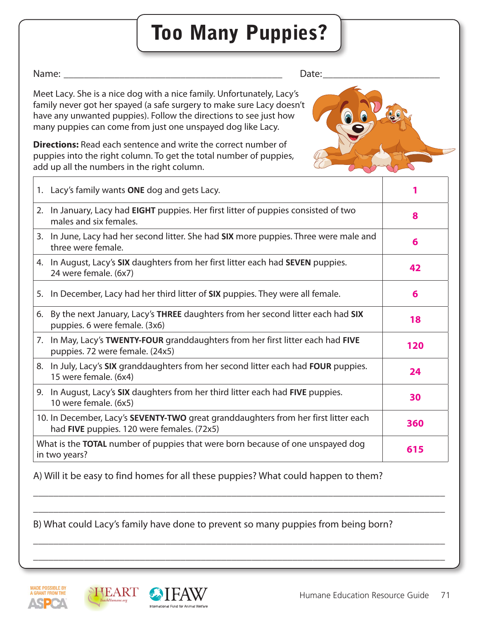# Too Many Puppies?

#### Name: \_\_\_\_\_\_\_\_\_\_\_\_\_\_\_\_\_\_\_\_\_\_\_\_\_\_\_\_\_\_\_\_\_\_\_\_\_\_\_\_\_\_\_ Date:\_\_\_\_\_\_\_\_\_\_\_\_\_\_\_\_\_\_\_\_\_\_\_

Meet Lacy. She is a nice dog with a nice family. Unfortunately, Lacy's family never got her spayed (a safe surgery to make sure Lacy doesn't have any unwanted puppies). Follow the directions to see just how many puppies can come from just one unspayed dog like Lacy.

**Directions:** Read each sentence and write the correct number of puppies into the right column. To get the total number of puppies, add up all the numbers in the right column.



A) Will it be easy to find homes for all these puppies? What could happen to them?

B) What could Lacy's family have done to prevent so many puppies from being born?

\_\_\_\_\_\_\_\_\_\_\_\_\_\_\_\_\_\_\_\_\_\_\_\_\_\_\_\_\_\_\_\_\_\_\_\_\_\_\_\_\_\_\_\_\_\_\_\_\_\_\_\_\_\_\_\_\_\_\_\_\_\_\_\_\_\_\_\_\_\_\_\_\_\_\_\_\_\_\_\_\_

\_\_\_\_\_\_\_\_\_\_\_\_\_\_\_\_\_\_\_\_\_\_\_\_\_\_\_\_\_\_\_\_\_\_\_\_\_\_\_\_\_\_\_\_\_\_\_\_\_\_\_\_\_\_\_\_\_\_\_\_\_\_\_\_\_\_\_\_\_\_\_\_\_\_\_\_\_\_\_\_\_

\_\_\_\_\_\_\_\_\_\_\_\_\_\_\_\_\_\_\_\_\_\_\_\_\_\_\_\_\_\_\_\_\_\_\_\_\_\_\_\_\_\_\_\_\_\_\_\_\_\_\_\_\_\_\_\_\_\_\_\_\_\_\_\_\_\_\_\_\_\_\_\_\_\_\_\_\_\_\_\_\_

\_\_\_\_\_\_\_\_\_\_\_\_\_\_\_\_\_\_\_\_\_\_\_\_\_\_\_\_\_\_\_\_\_\_\_\_\_\_\_\_\_\_\_\_\_\_\_\_\_\_\_\_\_\_\_\_\_\_\_\_\_\_\_\_\_\_\_\_\_\_\_\_\_\_\_\_\_\_\_\_\_